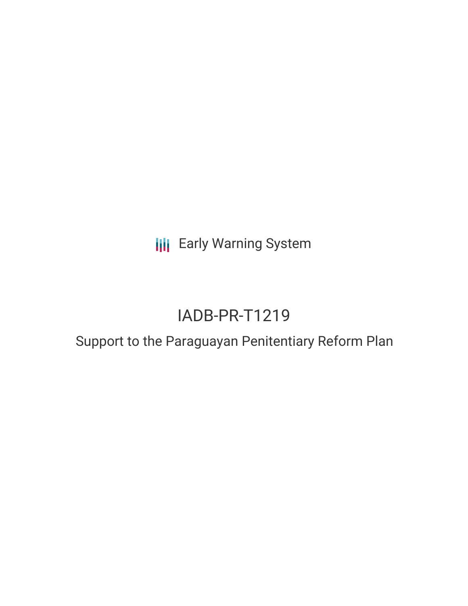**III** Early Warning System

# IADB-PR-T1219

# Support to the Paraguayan Penitentiary Reform Plan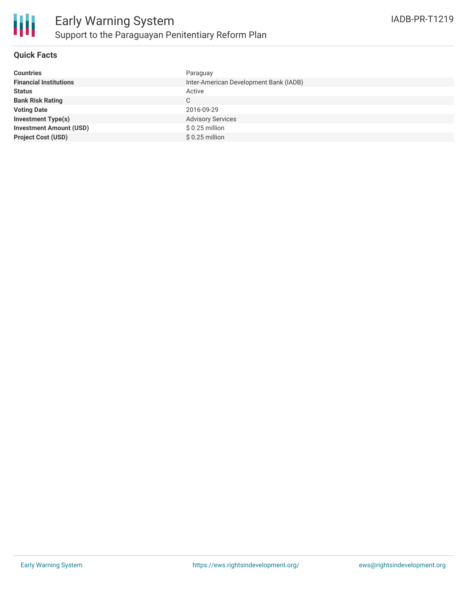

## **Quick Facts**

| Paraguay                               |
|----------------------------------------|
| Inter-American Development Bank (IADB) |
| Active                                 |
| C.                                     |
| 2016-09-29                             |
| <b>Advisory Services</b>               |
| $$0.25$ million                        |
| $$0.25$ million                        |
|                                        |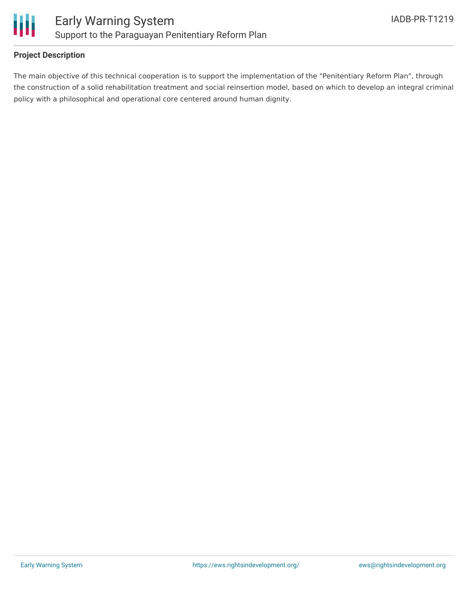

## **Project Description**

The main objective of this technical cooperation is to support the implementation of the "Penitentiary Reform Plan", through the construction of a solid rehabilitation treatment and social reinsertion model, based on which to develop an integral criminal policy with a philosophical and operational core centered around human dignity.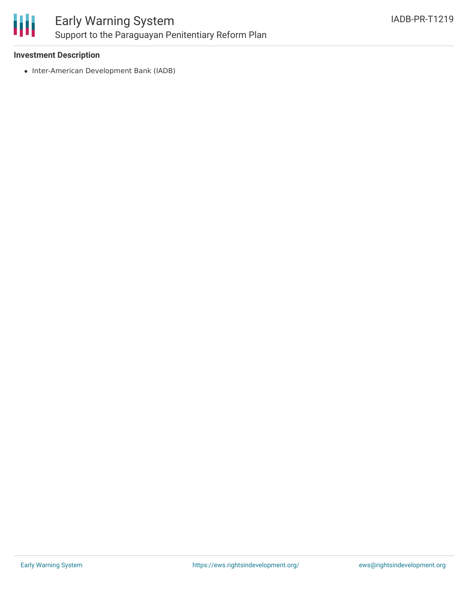

#### **Investment Description**

• Inter-American Development Bank (IADB)